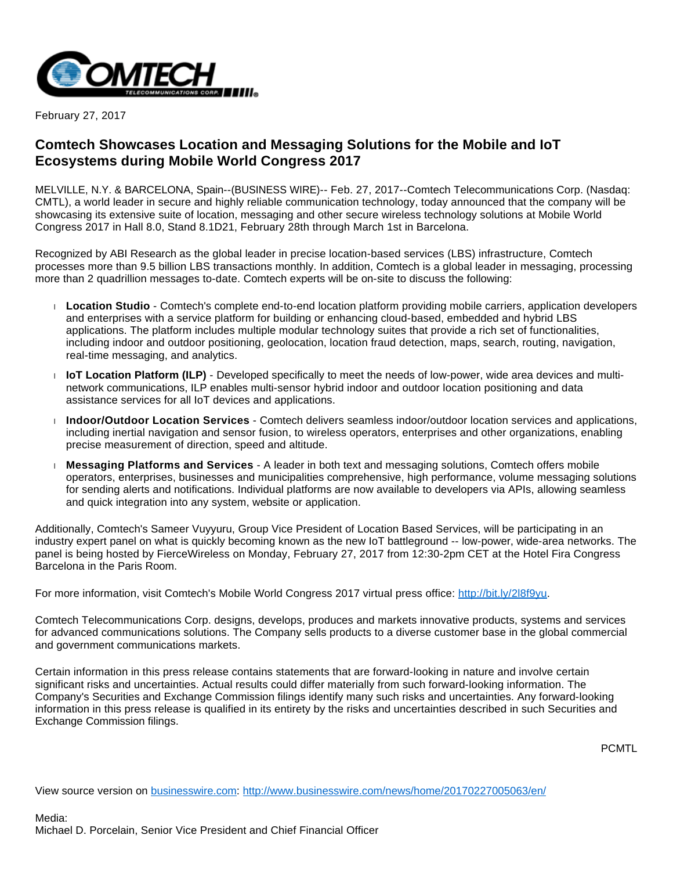

February 27, 2017

## **Comtech Showcases Location and Messaging Solutions for the Mobile and IoT Ecosystems during Mobile World Congress 2017**

MELVILLE, N.Y. & BARCELONA, Spain--(BUSINESS WIRE)-- Feb. 27, 2017--Comtech Telecommunications Corp. (Nasdaq: CMTL), a world leader in secure and highly reliable communication technology, today announced that the company will be showcasing its extensive suite of location, messaging and other secure wireless technology solutions at Mobile World Congress 2017 in Hall 8.0, Stand 8.1D21, February 28th through March 1st in Barcelona.

Recognized by ABI Research as the global leader in precise location-based services (LBS) infrastructure, Comtech processes more than 9.5 billion LBS transactions monthly. In addition, Comtech is a global leader in messaging, processing more than 2 quadrillion messages to-date. Comtech experts will be on-site to discuss the following:

- **Location Studio** Comtech's complete end-to-end location platform providing mobile carriers, application developers and enterprises with a service platform for building or enhancing cloud-based, embedded and hybrid LBS applications. The platform includes multiple modular technology suites that provide a rich set of functionalities, including indoor and outdoor positioning, geolocation, location fraud detection, maps, search, routing, navigation, real-time messaging, and analytics.
- **IoT Location Platform (ILP)** Developed specifically to meet the needs of low-power, wide area devices and multinetwork communications, ILP enables multi-sensor hybrid indoor and outdoor location positioning and data assistance services for all IoT devices and applications.
- **Indoor/Outdoor Location Services** Comtech delivers seamless indoor/outdoor location services and applications, including inertial navigation and sensor fusion, to wireless operators, enterprises and other organizations, enabling precise measurement of direction, speed and altitude.
- **Messaging Platforms and Services** A leader in both text and messaging solutions, Comtech offers mobile operators, enterprises, businesses and municipalities comprehensive, high performance, volume messaging solutions for sending alerts and notifications. Individual platforms are now available to developers via APIs, allowing seamless and quick integration into any system, website or application.

Additionally, Comtech's Sameer Vuyyuru, Group Vice President of Location Based Services, will be participating in an industry expert panel on what is quickly becoming known as the new IoT battleground -- low-power, wide-area networks. The panel is being hosted by FierceWireless on Monday, February 27, 2017 from 12:30-2pm CET at the Hotel Fira Congress Barcelona in the Paris Room.

For more information, visit Comtech's Mobile World Congress 2017 virtual press office: [http://bit.ly/2l8f9yu.](http://cts.businesswire.com/ct/CT?id=smartlink&url=http%3A%2F%2Fbit.ly%2F2l8f9yu&esheet=51515646&newsitemid=20170227005063&lan=en-US&anchor=http%3A%2F%2Fbit.ly%2F2l8f9yu&index=1&md5=188583a80d0ff2380c671e87a2d0fa08)

Comtech Telecommunications Corp. designs, develops, produces and markets innovative products, systems and services for advanced communications solutions. The Company sells products to a diverse customer base in the global commercial and government communications markets.

Certain information in this press release contains statements that are forward-looking in nature and involve certain significant risks and uncertainties. Actual results could differ materially from such forward-looking information. The Company's Securities and Exchange Commission filings identify many such risks and uncertainties. Any forward-looking information in this press release is qualified in its entirety by the risks and uncertainties described in such Securities and Exchange Commission filings.

PCMTL

View source version on [businesswire.com](http://businesswire.com/): <http://www.businesswire.com/news/home/20170227005063/en/>